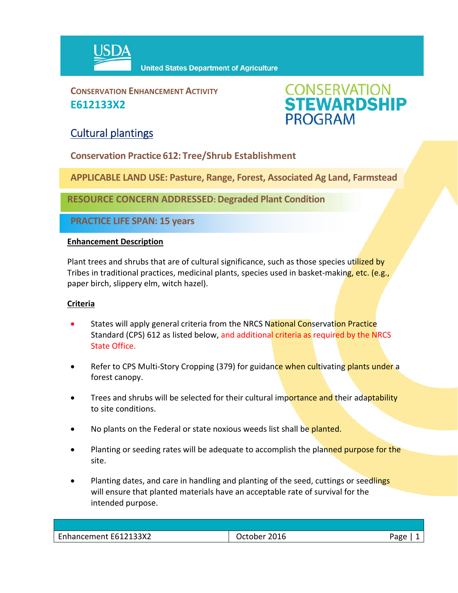

**CONSERVATION ENHANCEMENT ACTIVITY E612133X2**



## Cultural plantings

**Conservation Practice 612: Tree/Shrub Establishment**

**APPLICABLE LAND USE: Pasture, Range, Forest, Associated Ag Land, Farmstead**

**RESOURCE CONCERN ADDRESSED: Degraded Plant Condition**

**PRACTICE LIFE SPAN: 15 years**

## **Enhancement Description**

Plant trees and shrubs that are of cultural significance, such as those species utilized by Tribes in traditional practices, medicinal plants, species used in basket-making, etc. (e.g., paper birch, slippery elm, witch hazel).

## **Criteria**

- States will apply general criteria from the NRCS National Conservation Practice Standard (CPS) 612 as listed below, and additional criteria as required by the NRCS State Office.
- Refer to CPS Multi-Story Cropping (379) for guidance when cultivating plants under a forest canopy.
- Trees and shrubs will be selected for their cultural importance and their adaptability to site conditions.
- No plants on the Federal or state noxious weeds list shall be planted.
- Planting or seeding rates will be adequate to accomplish the planned purpose for the site.
- Planting dates, and care in handling and planting of the seed, cuttings or seedlings will ensure that planted materials have an acceptable rate of survival for the intended purpose.

| Enhancement E612133X2 | October 2016 | Page |
|-----------------------|--------------|------|
|                       |              |      |